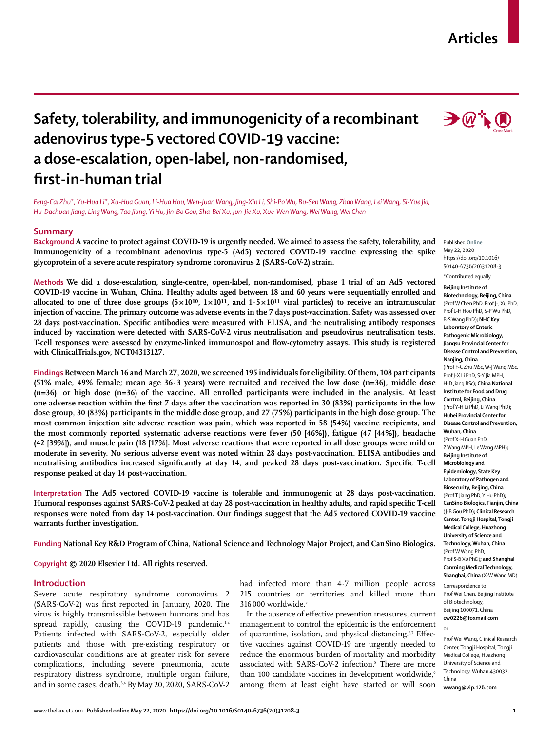### **Articles**

# $\rightarrow$   $\mathbb{Q}$   $\uparrow$   $\mathbb{Q}$

## **Safety, tolerability, and immunogenicity of a recombinant adenovirus type-5 vectored COVID-19 vaccine: a dose-escalation, open-label, non-randomised, first-in-human trial**

*Feng-Cai Zhu\*, Yu-Hua Li\*, Xu-Hua Guan, Li-Hua Hou, Wen-Juan Wang, Jing-Xin Li, Shi-Po Wu, Bu-Sen Wang, Zhao Wang, Lei Wang, Si-Yue Jia, Hu-Dachuan Jiang, Ling Wang, Tao Jiang, Yi Hu, Jin-Bo Gou, Sha-Bei Xu, Jun-Jie Xu, Xue-Wen Wang, Wei Wang, Wei Chen*

#### **Summary**

**Background A vaccine to protect against COVID-19 is urgently needed. We aimed to assess the safety, tolerability, and immunogenicity of a recombinant adenovirus type-5 (Ad5) vectored COVID-19 vaccine expressing the spike glycoprotein of a severe acute respiratory syndrome coronavirus 2 (SARS-CoV-2) strain.**

**Methods We did a dose-escalation, single-centre, open-label, non-randomised, phase 1 trial of an Ad5 vectored COVID-19 vaccine in Wuhan, China. Healthy adults aged between 18 and 60 years were sequentially enrolled and**  allocated to one of three dose groups  $(5 \times 10^{10}, 1 \times 10^{11},$  and  $1.5 \times 10^{11}$  viral particles) to receive an intramuscular **injection of vaccine. The primary outcome was adverse events in the 7 days post-vaccination. Safety was assessed over 28 days post-vaccination. Specific antibodies were measured with ELISA, and the neutralising antibody responses induced by vaccination were detected with SARS-CoV-2 virus neutralisation and pseudovirus neutralisation tests. T-cell responses were assessed by enzyme-linked immunospot and flow-cytometry assays. This study is registered with ClinicalTrials.gov, NCT04313127.**

**Findings Between March 16 and March 27, 2020, we screened 195 individuals for eligibility. Of them, 108 participants (51% male, 49% female; mean age 36·3 years) were recruited and received the low dose (n=36), middle dose (n=36), or high dose (n=36) of the vaccine. All enrolled participants were included in the analysis. At least one adverse reaction within the first 7 days after the vaccination was reported in 30 (83%) participants in the low dose group, 30 (83%) participants in the middle dose group, and 27 (75%) participants in the high dose group. The most common injection site adverse reaction was pain, which was reported in 58 (54%) vaccine recipients, and the most commonly reported systematic adverse reactions were fever (50 [46%]), fatigue (47 [44%]), headache (42 [39%]), and muscle pain (18 [17%]. Most adverse reactions that were reported in all dose groups were mild or moderate in severity. No serious adverse event was noted within 28 days post-vaccination. ELISA antibodies and neutralising antibodies increased significantly at day 14, and peaked 28 days post-vaccination. Specific T-cell response peaked at day 14 post-vaccination.**

**Interpretation The Ad5 vectored COVID-19 vaccine is tolerable and immunogenic at 28 days post-vaccination. Humoral responses against SARS-CoV-2 peaked at day 28 post-vaccination in healthy adults, and rapid specific T-cell responses were noted from day 14 post-vaccination. Our findings suggest that the Ad5 vectored COVID-19 vaccine warrants further investigation.**

**Funding National Key R&D Program of China, National Science and Technology Major Project, and CanSino Biologics.**

**Copyright © 2020 Elsevier Ltd. All rights reserved.**

#### **Introduction**

Severe acute respiratory syndrome coronavirus 2 (SARS-CoV-2) was first reported in January, 2020. The virus is highly transmissible between humans and has spread rapidly, causing the COVID-19 pandemic.<sup>1,2</sup> Patients infected with SARS-CoV-2, especially older patients and those with pre-existing respiratory or cardiovascular conditions are at greater risk for severe complications, including severe pneumonia, acute respiratory distress syndrome, multiple organ failure, and in some cases, death.3,4 By May 20, 2020, SARS-CoV-2 had infected more than 4·7 million people across 215 countries or territories and killed more than 316 000 worldwide.5

In the absence of effective prevention measures, current management to control the epidemic is the enforcement of quarantine, isolation, and physical distancing.<sup>6,7</sup> Effective vaccines against COVID-19 are urgently needed to reduce the enormous burden of mortality and morbidity associated with SARS-CoV-2 infection.<sup>8</sup> There are more than 100 candidate vaccines in development worldwide.<sup>9</sup> among them at least eight have started or will soon Published **Online** May 22, 2020 https://doi.org/10.1016/ S0140-6736(20)31208-3 \*Contributed equally

**Beijing Institute of Biotechnology, Beijing, China**  (Prof W Chen PhD, Prof J-J Xu PhD, Prof L-H Hou PhD, S-P Wu PhD, B-S Wang PhD)**; NHC Key Laboratory of Enteric Pathogenic Microbiology, Jiangsu Provincial Center for Disease Control and Prevention, Nanjing, China** (Prof F-C Zhu MSc, W-J Wang MSc, Prof J-X Li PhD, S-Y Jia MPH, H-D Jiang BSc)**; China National Institute for Food and Drug Control, Beijing, China** (Prof Y-H Li PhD, Li Wang PhD)**; Hubei Provincial Center for Disease Control and Prevention, Wuhan, China** (Prof X-H Guan PhD, Z Wang MPH, Le Wang MPH)**; Beijing Institute of Microbiology and Epidemiology, State Key Laboratory of Pathogen and Biosecurity, Beijing, China**  (Prof T Jiang PhD, Y Hu PhD)**; CanSino Biologics, Tianjin, China**  (J-B Gou PhD)**; Clinical Research Center, Tongji Hospital, Tongji Medical College, Huazhong University of Science and Technology, Wuhan, China**  (ProfW Wang PhD, Prof S-BXu PhD)**; and Shanghai Canming Medical Technology, Shanghai, China** (X-W Wang MD) Correspondence to: Prof Wei Chen, Beijing Institute of Biotechnology,

Beijing 100071, China **cw0226@foxmail.com** 

or

Prof Wei Wang, Clinical Research Center, Tongji Hospital, Tongji Medical College, Huazhong University of Science and Technology, Wuhan 430032, China

**wwang@vip.126.com**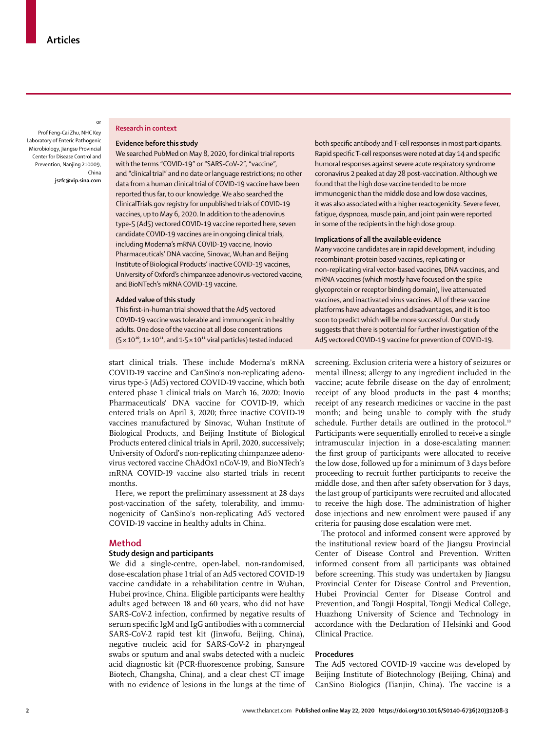Prof Feng-Cai Zhu, NHC Key Laboratory of Enteric Pathogenic Microbiology, Jiangsu Provincial Center for Disease Control and Prevention, Nanjing 210009, China

**jszfc@vip.sina.com**

or

#### **Research in context**

#### **Evidence before this study**

We searched PubMed on May 8, 2020, for clinical trial reports with the terms "COVID-19" or "SARS-CoV-2", "vaccine", and "clinical trial" and no date or language restrictions; no other data from a human clinical trial of COVID-19 vaccine have been reported thus far, to our knowledge. We also searched the ClinicalTrials.gov registry for unpublished trials of COVID-19 vaccines, up to May 6, 2020. In addition to the adenovirus type-5 (Ad5) vectored COVID-19 vaccine reported here, seven candidate COVID-19 vaccines are in ongoing clinical trials, including Moderna's mRNA COVID-19 vaccine, Inovio Pharmaceuticals' DNA vaccine, Sinovac, Wuhan and Beijing Institute of Biological Products' inactive COVID-19 vaccines, University of Oxford's chimpanzee adenovirus-vectored vaccine, and BioNTech's mRNA COVID-19 vaccine.

#### **Added value of this study**

This first-in-human trial showed that the Ad5 vectored COVID-19 vaccine was tolerable and immunogenic in healthy adults. One dose of the vaccine at all dose concentrations  $(5 \times 10^{10}, 1 \times 10^{11},$  and  $1.5 \times 10^{11}$  viral particles) tested induced

start clinical trials. These include Moderna's mRNA COVID-19 vaccine and CanSino's non-replicating adenovirus type-5 (Ad5) vectored COVID-19 vaccine, which both entered phase 1 clinical trials on March 16, 2020; Inovio Pharmaceuticals' DNA vaccine for COVID-19, which entered trials on April 3, 2020; three inactive COVID-19 vaccines manufactured by Sinovac, Wuhan Institute of Biological Products, and Beijing Institute of Biological Products entered clinical trials in April, 2020, successively; University of Oxford's non-replicating chimpanzee adenovirus vectored vaccine ChAdOx1 nCoV-19, and BioNTech's mRNA COVID-19 vaccine also started trials in recent months.

Here, we report the preliminary assessment at 28 days post-vaccination of the safety, tolerability, and immunogenicity of CanSino's non-replicating Ad5 vectored COVID-19 vaccine in healthy adults in China.

#### **Method**

#### **Study design and participants**

We did a single-centre, open-label, non-randomised, dose-escalation phase 1 trial of an Ad5 vectored COVID-19 vaccine candidate in a rehabilitation centre in Wuhan, Hubei province, China. Eligible participants were healthy adults aged between 18 and 60 years, who did not have SARS-CoV-2 infection, confirmed by negative results of serum specific IgM and IgG antibodies with a commercial SARS-CoV-2 rapid test kit (Jinwofu, Beijing, China), negative nucleic acid for SARS-CoV-2 in pharyngeal swabs or sputum and anal swabs detected with a nucleic acid diagnostic kit (PCR-fluorescence probing, Sansure Biotech, Changsha, China), and a clear chest CT image with no evidence of lesions in the lungs at the time of both specific antibody and T-cell responses in most participants. Rapid specific T-cell responses were noted at day 14 and specific humoral responses against severe acute respiratory syndrome coronavirus 2 peaked at day 28 post-vaccination. Although we found that the high dose vaccine tended to be more immunogenic than the middle dose and low dose vaccines, it was also associated with a higher reactogenicity. Severe fever, fatigue, dyspnoea, muscle pain, and joint pain were reported in some of the recipients in the high dose group.

#### **Implications of all the available evidence**

Many vaccine candidates are in rapid development, including recombinant-protein based vaccines, replicating or non-replicating viral vector-based vaccines, DNA vaccines, and mRNA vaccines (which mostly have focused on the spike glycoprotein or receptor binding domain), live attenuated vaccines, and inactivated virus vaccines. All of these vaccine platforms have advantages and disadvantages, and it is too soon to predict which will be more successful. Our study suggests that there is potential for further investigation of the Ad5 vectored COVID-19 vaccine for prevention of COVID-19.

screening. Exclusion criteria were a history of seizures or mental illness; allergy to any ingredient included in the vaccine; acute febrile disease on the day of enrolment; receipt of any blood products in the past 4 months; receipt of any research medicines or vaccine in the past month; and being unable to comply with the study schedule. Further details are outlined in the protocol.<sup>10</sup> Participants were sequentially enrolled to receive a single intramuscular injection in a dose-escalating manner: the first group of participants were allocated to receive the low dose, followed up for a minimum of 3 days before proceeding to recruit further participants to receive the middle dose, and then after safety observation for 3 days, the last group of participants were recruited and allocated to receive the high dose. The administration of higher dose injections and new enrolment were paused if any criteria for pausing dose escalation were met.

The protocol and informed consent were approved by the institutional review board of the Jiangsu Provincial Center of Disease Control and Prevention. Written informed consent from all participants was obtained before screening. This study was undertaken by Jiangsu Provincial Center for Disease Control and Prevention, Hubei Provincial Center for Disease Control and Prevention, and Tongji Hospital, Tongji Medical College, Huazhong University of Science and Technology in accordance with the Declaration of Helsinki and Good Clinical Practice.

#### **Procedures**

The Ad5 vectored COVID-19 vaccine was developed by Beijing Institute of Biotechnology (Beijing, China) and CanSino Biologics (Tianjin, China). The vaccine is a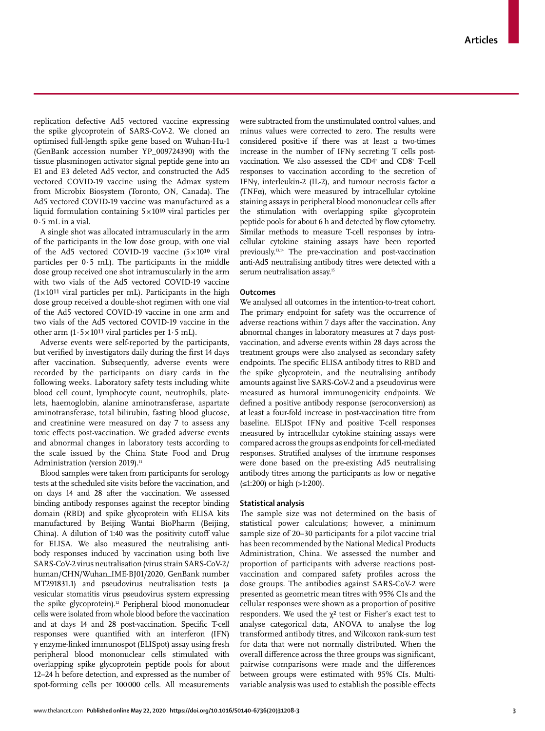replication defective Ad5 vectored vaccine expressing the spike glycoprotein of SARS-CoV-2. We cloned an optimised full-length spike gene based on Wuhan-Hu-1 (GenBank accession number YP\_009724390) with the tissue plasminogen activator signal peptide gene into an E1 and E3 deleted Ad5 vector, and constructed the Ad5 vectored COVID-19 vaccine using the Admax system from Microbix Biosystem (Toronto, ON, Canada). The Ad5 vectored COVID-19 vaccine was manufactured as a liquid formulation containing  $5\times10^{10}$  viral particles per  $0.5$  mL in a vial.

A single shot was allocated intramuscularly in the arm of the participants in the low dose group, with one vial of the Ad5 vectored COVID-19 vaccine  $(5 \times 10^{10} \text{ viral})$ particles per 0·5 mL). The participants in the middle dose group received one shot intramuscularly in the arm with two vials of the Ad5 vectored COVID-19 vaccine  $(1\times10^{11}$  viral particles per mL). Participants in the high dose group received a double-shot regimen with one vial of the Ad5 vectored COVID-19 vaccine in one arm and two vials of the Ad5 vectored COVID-19 vaccine in the other arm  $(1.5 \times 10^{11} \text{ viral particles per } 1.5 \text{ mL})$ .

Adverse events were self-reported by the participants, but verified by investigators daily during the first 14 days after vaccination. Subsequently, adverse events were recorded by the participants on diary cards in the following weeks. Laboratory safety tests including white blood cell count, lymphocyte count, neutrophils, platelets, haemoglobin, alanine aminotransferase, aspartate aminotransferase, total bilirubin, fasting blood glucose, and creatinine were measured on day 7 to assess any toxic effects post-vaccination. We graded adverse events and abnormal changes in laboratory tests according to the scale issued by the China State Food and Drug Administration (version 2019).<sup>11</sup>

Blood samples were taken from participants for serology tests at the scheduled site visits before the vaccination, and on days 14 and 28 after the vaccination. We assessed binding antibody responses against the receptor binding domain (RBD) and spike glycoprotein with ELISA kits manufactured by Beijing Wantai BioPharm (Beijing, China). A dilution of 1:40 was the positivity cutoff value for ELISA. We also measured the neutralising antibody responses induced by vaccination using both live SARS-CoV-2 virus neutralisation (virus strain SARS-CoV-2/ human/CHN/Wuhan\_IME-BJ01/2020, GenBank number MT291831.1) and pseudovirus neutralisation tests (a vesicular stomatitis virus pseudovirus system expressing the spike glycoprotein).<sup>12</sup> Peripheral blood mononuclear cells were isolated from whole blood before the vaccination and at days 14 and 28 post-vaccination. Specific T-cell responses were quantified with an interferon (IFN) γ enzyme-linked immunospot (ELISpot) assay using fresh peripheral blood mononuclear cells stimulated with overlapping spike glycoprotein peptide pools for about 12–24 h before detection, and expressed as the number of spot-forming cells per 100000 cells. All measurements were subtracted from the unstimulated control values, and minus values were corrected to zero. The results were considered positive if there was at least a two-times increase in the number of IFNγ secreting T cells postvaccination. We also assessed the CD4+ and CD8+ T-cell responses to vaccination according to the secretion of IFNγ, interleukin-2 (IL-2), and tumour necrosis factor α (TNFα), which were measured by intracellular cytokine staining assays in peripheral blood mononuclear cells after the stimulation with overlapping spike glycoprotein peptide pools for about 6 h and detected by flow cytometry. Similar methods to measure T-cell responses by intracellular cytokine staining assays have been reported previously.13,14 The pre-vaccination and post-vaccination anti-Ad5 neutralising antibody titres were detected with a serum neutralisation assay.<sup>15</sup>

#### **Outcomes**

We analysed all outcomes in the intention-to-treat cohort. The primary endpoint for safety was the occurrence of adverse reactions within 7 days after the vaccination. Any abnormal changes in laboratory measures at 7 days postvaccination, and adverse events within 28 days across the treatment groups were also analysed as secondary safety endpoints. The specific ELISA antibody titres to RBD and the spike glycoprotein, and the neutralising antibody amounts against live SARS-CoV-2 and a pseudovirus were measured as humoral immunogenicity endpoints. We defined a positive antibody response (seroconversion) as at least a four-fold increase in post-vaccination titre from baseline. ELISpot IFNγ and positive T-cell responses measured by intracellular cytokine staining assays were compared across the groups as endpoints for cell-mediated responses. Stratified analyses of the immune responses were done based on the pre-existing Ad5 neutralising antibody titres among the participants as low or negative (≤1:200) or high (>1:200).

#### **Statistical analysis**

The sample size was not determined on the basis of statistical power calculations; however, a minimum sample size of 20–30 participants for a pilot vaccine trial has been recommended by the National Medical Products Administration, China. We assessed the number and proportion of participants with adverse reactions postvaccination and compared safety profiles across the dose groups. The antibodies against SARS-CoV-2 were presented as geometric mean titres with 95% CIs and the cellular responses were shown as a proportion of positive responders. We used the  $\chi^2$  test or Fisher's exact test to analyse categorical data, ANOVA to analyse the log transformed antibody titres, and Wilcoxon rank-sum test for data that were not normally distributed. When the overall difference across the three groups was significant, pairwise comparisons were made and the differences between groups were estimated with 95% CIs. Multivariable analysis was used to establish the possible effects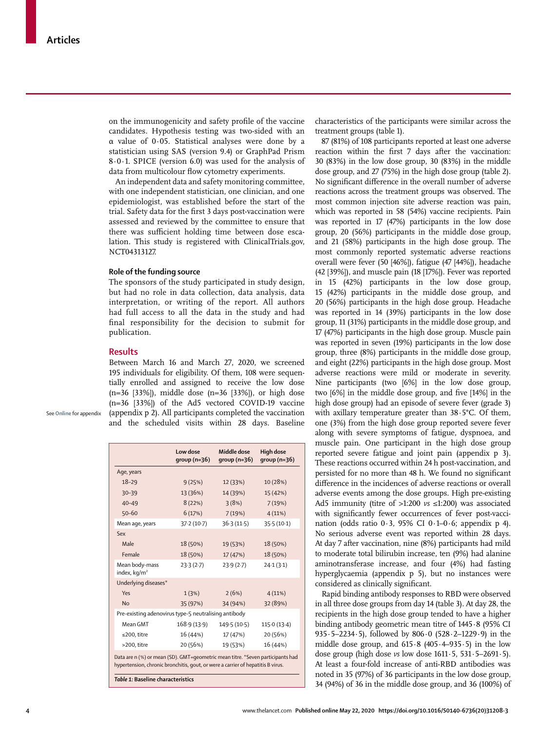on the immunogenicity and safety profile of the vaccine candidates. Hypothesis testing was two-sided with an α value of 0·05. Statistical analyses were done by a statistician using SAS (version 9.4) or GraphPad Prism 8·0·1. SPICE (version 6.0) was used for the analysis of data from multicolour flow cytometry experiments.

An independent data and safety monitoring committee, with one independent statistician, one clinician, and one epidemiologist, was established before the start of the trial. Safety data for the first 3 days post-vaccination were assessed and reviewed by the committee to ensure that there was sufficient holding time between dose escalation. This study is registered with ClinicalTrials.gov, NCT04313127.

#### **Role of the funding source**

The sponsors of the study participated in study design, but had no role in data collection, data analysis, data interpretation, or writing of the report. All authors had full access to all the data in the study and had final responsibility for the decision to submit for publication.

#### **Results**

Between March 16 and March 27, 2020, we screened 195 individuals for eligibility. Of them, 108 were sequentially enrolled and assigned to receive the low dose (n=36 [33%]), middle dose (n=36 [33%]), or high dose (n=36 [33%]) of the Ad5 vectored COVID-19 vaccine (appendix p 2). All participants completed the vaccination and the scheduled visits within 28 days. Baseline

#### See **Online** for appendix

|                                                                                                                                                                   | Low dose<br>$qroup(n=36)$ | Middle dose<br>$qroup(n=36)$ | High dose<br>$qroup(n=36)$ |
|-------------------------------------------------------------------------------------------------------------------------------------------------------------------|---------------------------|------------------------------|----------------------------|
| Age, years                                                                                                                                                        |                           |                              |                            |
| $18 - 29$                                                                                                                                                         | 9(25%)                    | 12 (33%)                     | 10 (28%)                   |
| $30 - 39$                                                                                                                                                         | 13(36%)                   | 14 (39%)                     | 15 (42%)                   |
| $40 - 49$                                                                                                                                                         | 8(22%)                    | 3(8%)                        | 7(19%)                     |
| $50 - 60$                                                                                                                                                         | 6(17%)                    | 7(19%)                       | 4(11%)                     |
| Mean age, years                                                                                                                                                   | 37.2(10.7)                | 36.3(11.5)                   | 35.5(10.1)                 |
| Sex                                                                                                                                                               |                           |                              |                            |
| Male                                                                                                                                                              | 18 (50%)                  | 19 (53%)                     | 18 (50%)                   |
| Female                                                                                                                                                            | 18 (50%)                  | 17 (47%)                     | 18 (50%)                   |
| Mean body-mass<br>index, kg/m <sup>2</sup>                                                                                                                        | 23.3(2.7)                 | 23.9(2.7)                    | 24.1(3.1)                  |
| Underlying diseases*                                                                                                                                              |                           |                              |                            |
| Yes                                                                                                                                                               | 1(3%)                     | 2(6%)                        | 4(11%)                     |
| <b>No</b>                                                                                                                                                         | 35 (97%)                  | 34 (94%)                     | 32 (89%)                   |
| Pre-existing adenovirus type-5 neutralising antibody                                                                                                              |                           |                              |                            |
| Mean GMT                                                                                                                                                          | 168.9(13.9)               | 149.5(10.5)                  | 115.0(13.4)                |
| ≤200, titre                                                                                                                                                       | 16 (44%)                  | 17 (47%)                     | 20 (56%)                   |
| >200, titre                                                                                                                                                       | 20 (56%)                  | 19 (53%)                     | 16 (44%)                   |
| Data are n (%) or mean (SD). GMT=qeometric mean titre. *Seven participants had<br>hypertension, chronic bronchitis, gout, or were a carrier of hepatitis B virus. |                           |                              |                            |

characteristics of the participants were similar across the treatment groups (table 1).

87 (81%) of 108 participants reported at least one adverse reaction within the first 7 days after the vaccination: 30 (83%) in the low dose group, 30 (83%) in the middle dose group, and 27 (75%) in the high dose group (table 2). No significant difference in the overall number of adverse reactions across the treatment groups was observed. The most common injection site adverse reaction was pain, which was reported in 58 (54%) vaccine recipients. Pain was reported in 17 (47%) participants in the low dose group, 20 (56%) participants in the middle dose group, and 21 (58%) participants in the high dose group. The most commonly reported systematic adverse reactions overall were fever (50 [46%]), fatigue (47 [44%]), headache (42 [39%]), and muscle pain (18 [17%]). Fever was reported in 15 (42%) participants in the low dose group, 15 (42%) participants in the middle dose group, and 20 (56%) participants in the high dose group. Headache was reported in 14 (39%) participants in the low dose group, 11 (31%) participants in the middle dose group, and 17 (47%) participants in the high dose group. Muscle pain was reported in seven (19%) participants in the low dose group, three (8%) participants in the middle dose group, and eight (22%) participants in the high dose group. Most adverse reactions were mild or moderate in severity. Nine participants (two [6%] in the low dose group, two [6%] in the middle dose group, and five [14%] in the high dose group) had an episode of severe fever (grade 3) with axillary temperature greater than 38·5°C. Of them, one (3%) from the high dose group reported severe fever along with severe symptoms of fatigue, dyspnoea, and muscle pain. One participant in the high dose group reported severe fatigue and joint pain (appendix p 3). These reactions occurred within 24 h post-vaccination, and persisted for no more than 48 h. We found no significant difference in the incidences of adverse reactions or overall adverse events among the dose groups. High pre-existing Ad5 immunity (titre of >1:200 *vs* ≤1:200) was associated with significantly fewer occurrences of fever post-vaccination (odds ratio  $0.3$ , 95% CI  $0.1-0.6$ ; appendix p 4). No serious adverse event was reported within 28 days. At day 7 after vaccination, nine (8%) participants had mild to moderate total bilirubin increase, ten (9%) had alanine aminotransferase increase, and four (4%) had fasting hyperglycaemia (appendix p 5), but no instances were considered as clinically significant.

Rapid binding antibody responses to RBD were observed in all three dose groups from day 14 (table 3). At day 28, the recipients in the high dose group tended to have a higher binding antibody geometric mean titre of 1445·8 (95% CI 935·5–2234·5), followed by 806·0 (528·2–1229·9) in the middle dose group, and 615·8 (405·4–935·5) in the low dose group (high dose *vs* low dose 1611·5, 531·5–2691·5). At least a four-fold increase of anti-RBD antibodies was noted in 35 (97%) of 36 participants in the low dose group, 34 (94%) of 36 in the middle dose group, and 36 (100%) of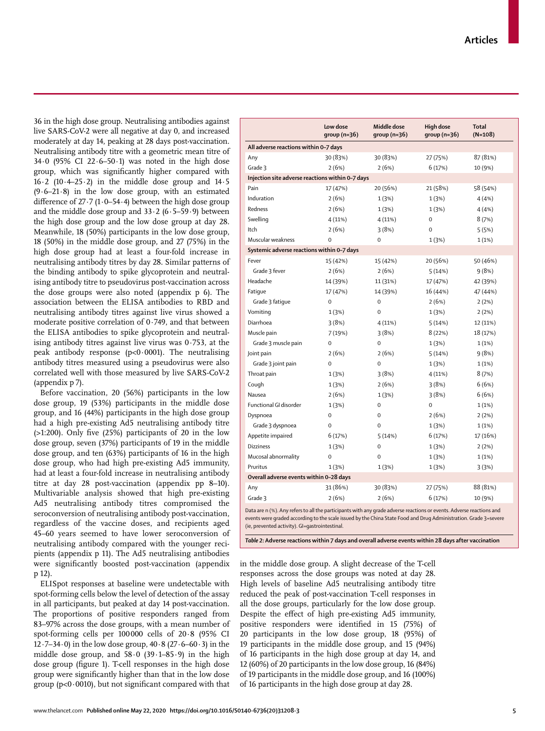36 in the high dose group. Neutralising antibodies against live SARS-CoV-2 were all negative at day 0, and increased moderately at day 14, peaking at 28 days post-vaccination. Neutralising antibody titre with a geometric mean titre of 34·0 (95% CI 22·6–50·1) was noted in the high dose group, which was significantly higher compared with 16·2 (10·4–25·2) in the middle dose group and 14·5 (9·6–21·8) in the low dose group, with an estimated difference of 27·7 (1·0–54·4) between the high dose group and the middle dose group and  $33.2$  (6.5–59.9) between the high dose group and the low dose group at day 28. Meanwhile, 18 (50%) participants in the low dose group, 18 (50%) in the middle dose group, and 27 (75%) in the high dose group had at least a four-fold increase in neutralising antibody titres by day 28. Similar patterns of the binding antibody to spike glycoprotein and neutralising antibody titre to pseudovirus post-vaccination across the dose groups were also noted (appendix p 6). The association between the ELISA antibodies to RBD and neutralising antibody titres against live virus showed a moderate positive correlation of 0·749, and that between the ELISA antibodies to spike glycoprotein and neutralising antibody titres against live virus was 0·753, at the peak antibody response ( $p<0.0001$ ). The neutralising antibody titres measured using a pseudovirus were also correlated well with those measured by live SARS-CoV-2 (appendix p 7).

Before vaccination, 20 (56%) participants in the low dose group, 19 (53%) participants in the middle dose group, and 16 (44%) participants in the high dose group had a high pre-existing Ad5 neutralising antibody titre (>1:200). Only five (25%) participants of 20 in the low dose group, seven (37%) participants of 19 in the middle dose group, and ten (63%) participants of 16 in the high dose group, who had high pre-existing Ad5 immunity, had at least a four-fold increase in neutralising antibody titre at day 28 post-vaccination (appendix pp 8–10). Multivariable analysis showed that high pre-existing Ad5 neutralising antibody titres compromised the seroconversion of neutralising antibody post-vaccination, regardless of the vaccine doses, and recipients aged 45–60 years seemed to have lower seroconversion of neutralising antibody compared with the younger recipients (appendix p 11). The Ad5 neutralising antibodies were significantly boosted post-vaccination (appendix p 12).

ELISpot responses at baseline were undetectable with spot-forming cells below the level of detection of the assay in all participants, but peaked at day 14 post-vaccination. The proportions of positive responders ranged from 83–97% across the dose groups, with a mean number of spot-forming cells per 100000 cells of 20·8 (95% CI 12 $-7-34$  $-0$ ) in the low dose group,  $40.8$  (27 $-6-60.3$ ) in the middle dose group, and  $58.0$  (39 $\cdot$ 1-85 $\cdot$ 9) in the high dose group (figure 1). T-cell responses in the high dose group were significantly higher than that in the low dose group ( $p<0.0010$ ), but not significant compared with that

|                                                  | Low dose<br>$qroup(n=36)$ | Middle dose<br>$qroup(n=36)$ | High dose<br>$qroup(n=36)$ | <b>Total</b><br>$(N=108)$ |  |  |  |  |  |
|--------------------------------------------------|---------------------------|------------------------------|----------------------------|---------------------------|--|--|--|--|--|
| All adverse reactions within 0-7 days            |                           |                              |                            |                           |  |  |  |  |  |
| Any                                              | 30 (83%)                  | 30 (83%)                     | 27 (75%)                   | 87 (81%)                  |  |  |  |  |  |
| Grade 3                                          | 2(6%)                     | 2(6%)                        | 6 (17%)                    | 10 (9%)                   |  |  |  |  |  |
| Injection site adverse reactions within 0-7 days |                           |                              |                            |                           |  |  |  |  |  |
| Pain                                             | 17 (47%)                  | 20 (56%)                     | 21 (58%)                   | 58 (54%)                  |  |  |  |  |  |
| Induration                                       | 2(6%)                     | 1(3%)                        | 1(3%)                      | 4(4%)                     |  |  |  |  |  |
| Redness                                          | 2(6%)                     | 1(3%)                        | 1(3%)                      | 4(4%)                     |  |  |  |  |  |
| Swelling                                         | 4(11%)                    | 4 (11%)                      | 0                          | 8(7%)                     |  |  |  |  |  |
| Itch                                             | 2(6%)                     | 3(8%)                        | 0                          | 5(5%)                     |  |  |  |  |  |
| Muscular weakness                                | $\Omega$                  | 0                            | 1(3%)                      | 1(1%)                     |  |  |  |  |  |
| Systemic adverse reactions within 0-7 days       |                           |                              |                            |                           |  |  |  |  |  |
| Fever                                            | 15 (42%)                  | 15 (42%)                     | 20 (56%)                   | 50 (46%)                  |  |  |  |  |  |
| Grade 3 fever                                    | 2(6%)                     | 2(6%)                        | 5(14%)                     | 9(8%)                     |  |  |  |  |  |
| Headache                                         | 14 (39%)                  | 11 (31%)                     | 17 (47%)                   | 42 (39%)                  |  |  |  |  |  |
| Fatique                                          | 17 (47%)                  | 14 (39%)                     | 16 (44%)                   | 47 (44%)                  |  |  |  |  |  |
| Grade 3 fatique                                  | $\mathbf 0$               | $\mathbf 0$                  | 2(6%)                      | 2(2%)                     |  |  |  |  |  |
| Vomiting                                         | 1(3%)                     | 0                            | 1(3%)                      | 2(2%)                     |  |  |  |  |  |
| Diarrhoea                                        | 3(8%)                     | 4(11%)                       | 5(14%)                     | 12 (11%)                  |  |  |  |  |  |
| Muscle pain                                      | 7(19%)                    | 3(8%)                        | 8 (22%)                    | 18 (17%)                  |  |  |  |  |  |
| Grade 3 muscle pain                              | $\overline{0}$            | $\overline{0}$               | 1(3%)                      | 1(1%)                     |  |  |  |  |  |
| Joint pain                                       | 2(6%)                     | 2(6%)                        | 5(14%)                     | 9(8%)                     |  |  |  |  |  |
| Grade 3 joint pain                               | $\mathbf 0$               | $\overline{0}$               | 1(3%)                      | 1(1%)                     |  |  |  |  |  |
| Throat pain                                      | 1(3%)                     | 3(8%)                        | 4 (11%)                    | 8(7%)                     |  |  |  |  |  |
| Cough                                            | 1(3%)                     | 2(6%)                        | 3(8%)                      | 6(6%)                     |  |  |  |  |  |
| Nausea                                           | 2(6%)                     | 1(3%)                        | 3(8%)                      | 6(6%)                     |  |  |  |  |  |
| Functional GI disorder                           | 1(3%)                     | 0                            | 0                          | 1(1%)                     |  |  |  |  |  |
| Dyspnoea                                         | 0                         | 0                            | 2(6%)                      | 2(2%)                     |  |  |  |  |  |
| Grade 3 dyspnoea                                 | 0                         | 0                            | 1(3%)                      | 1(1%)                     |  |  |  |  |  |
| Appetite impaired                                | 6 (17%)                   | 5(14%)                       | 6(17%)                     | 17 (16%)                  |  |  |  |  |  |
| <b>Dizziness</b>                                 | 1(3%)                     | $\overline{0}$               | 1(3%)                      | 2(2%)                     |  |  |  |  |  |
| Mucosal abnormality                              | 0                         | 0                            | 1(3%)                      | 1(1%)                     |  |  |  |  |  |
| Pruritus                                         | 1(3%)                     | 1(3%)                        | 1(3%)                      | 3(3%)                     |  |  |  |  |  |
| Overall adverse events within 0-28 days          |                           |                              |                            |                           |  |  |  |  |  |
| Any                                              | 31 (86%)                  | 30 (83%)                     | 27 (75%)                   | 88 (81%)                  |  |  |  |  |  |
| Grade 3                                          | 2(6%)                     | 2(6%)                        | 6 (17%)                    | 10 (9%)                   |  |  |  |  |  |
|                                                  |                           | $\sim$ $\sim$ $\sim$         |                            |                           |  |  |  |  |  |

Data are n (%). Any refers to all the participants with any grade adverse reactions or events. Adverse reactions and events were graded according to the scale issued by the China State Food and Drug Administration. Grade 3=severe (ie, prevented activity). GI=gastrointestinal.

*Table 2:* **Adverse reactions within 7 days and overall adverse events within 28 days after vaccination**

in the middle dose group. A slight decrease of the T-cell responses across the dose groups was noted at day 28. High levels of baseline Ad5 neutralising antibody titre reduced the peak of post-vaccination T-cell responses in all the dose groups, particularly for the low dose group. Despite the effect of high pre-existing Ad5 immunity, positive responders were identified in 15 (75%) of 20 participants in the low dose group, 18 (95%) of 19 participants in the middle dose group, and 15 (94%) of 16 participants in the high dose group at day 14, and 12 (60%) of 20 participants in the low dose group, 16 (84%) of 19 participants in the middle dose group, and 16 (100%) of 16 participants in the high dose group at day 28.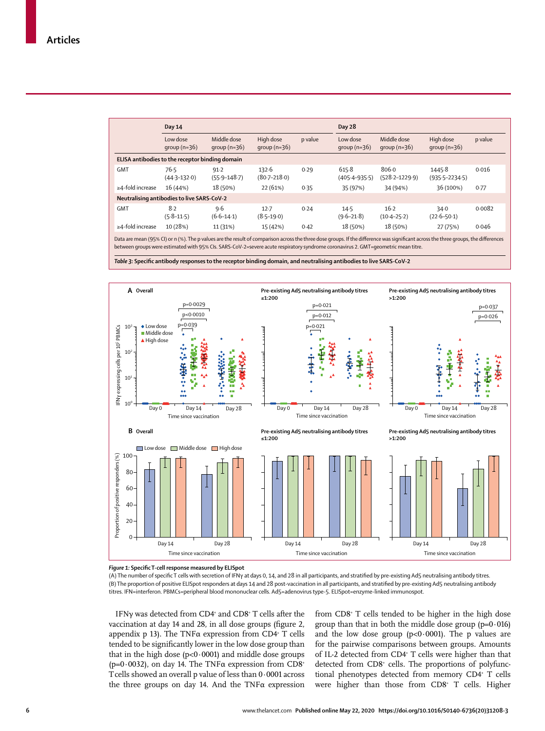|                        | Day 14                                          |                              |                             | Day 28  |                            |                               |                              |         |
|------------------------|-------------------------------------------------|------------------------------|-----------------------------|---------|----------------------------|-------------------------------|------------------------------|---------|
|                        | Low dose<br>$qroup(n=36)$                       | Middle dose<br>$qroup(n=36)$ | High dose<br>$qroup (n=36)$ | p value | Low dose<br>$group(n=36)$  | Middle dose<br>$qroup (n=36)$ | High dose<br>$qroup(n=36)$   | p value |
|                        | ELISA antibodies to the receptor binding domain |                              |                             |         |                            |                               |                              |         |
| <b>GMT</b>             | 76.5<br>$(44.3 - 132.0)$                        | 91.2<br>$(55.9 - 148.7)$     | 132.6<br>$(80-7-218.0)$     | 0.29    | 615.8<br>$(405.4 - 935.5)$ | 806.0<br>$(528.2 - 1229.9)$   | 1445.8<br>$(935.5 - 2234.5)$ | 0.016   |
| $\geq$ 4-fold increase | 16 (44%)                                        | 18 (50%)                     | 22 (61%)                    | 0.35    | 35 (97%)                   | 34 (94%)                      | 36 (100%)                    | 0.77    |
|                        | Neutralising antibodies to live SARS-CoV-2      |                              |                             |         |                            |                               |                              |         |
| <b>GMT</b>             | 8.2<br>$(5.8 - 11.5)$                           | 9.6<br>$(6.6 - 14.1)$        | $12 - 7$<br>$(8.5 - 19.0)$  | 0.24    | 14.5<br>$(9.6 - 21.8)$     | 16.2<br>$(10.4 - 25.2)$       | $34 - 0$<br>$(22.6 - 50.1)$  | 0.0082  |
| ≥4-fold increase       | 10 (28%)                                        | 11 (31%)                     | 15 (42%)                    | 0.42    | 18 (50%)                   | 18 (50%)                      | 27 (75%)                     | 0.046   |

between groups were estimated with 95% CIs. SARS-CoV-2=severe acute respiratory syndrome coronavirus 2. GMT=geometric mean titre.

*Table 3:* **Specific antibody responses to the receptor binding domain, and neutralising antibodies to live SARS-CoV-2** 





(A) The number of specific T cells with secretion of IFNγ at days 0, 14, and 28 in all participants, and stratified by pre-existing Ad5 neutralising antibody titres. (B) The proportion of positive ELISpot responders at days 14 and 28 post-vaccination in all participants, and stratified by pre-existing Ad5 neutralising antibody

IFNγ was detected from CD4<sup>+</sup> and CD8<sup>+</sup> T cells after the vaccination at day 14 and 28, in all dose groups (figure 2, appendix  $p$  13). The TNF $\alpha$  expression from CD4<sup>+</sup> T cells tended to be significantly lower in the low dose group than that in the high dose ( $p<0.0001$ ) and middle dose groups (p=0.0032), on day 14. The TNF $\alpha$  expression from CD8<sup>+</sup> T cells showed an overall p value of less than  $0.0001$  across the three groups on day 14. And the TNFα expression

from CD8+ T cells tended to be higher in the high dose group than that in both the middle dose group  $(p=0.016)$ and the low dose group  $(p<0.0001)$ . The p values are for the pairwise comparisons between groups. Amounts of IL-2 detected from CD4+ T cells were higher than that detected from CD8<sup>+</sup> cells. The proportions of polyfunctional phenotypes detected from memory CD4+ T cells were higher than those from CD8+ T cells. Higher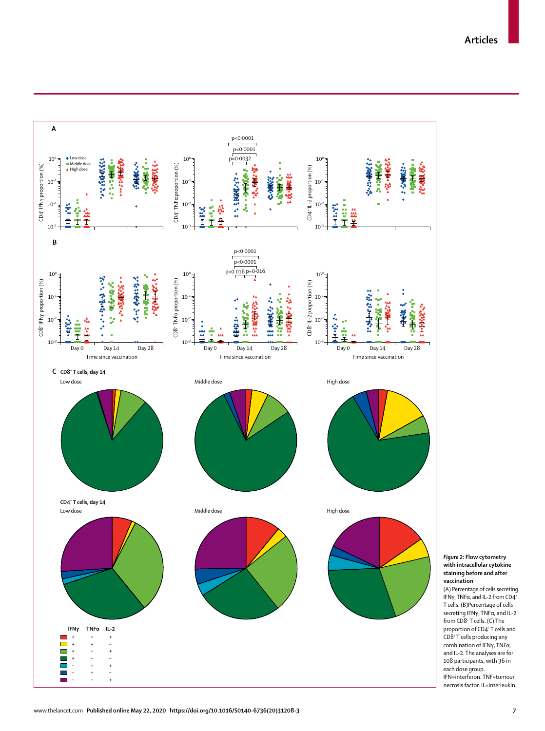

CD8+ T cells producing any combination of IFNγ, TNFα, and IL-2. The analyses are for 108 participants, with 36 in each dose group.

IFN=interferon. TNF=tumour necrosis factor. IL=interleukin.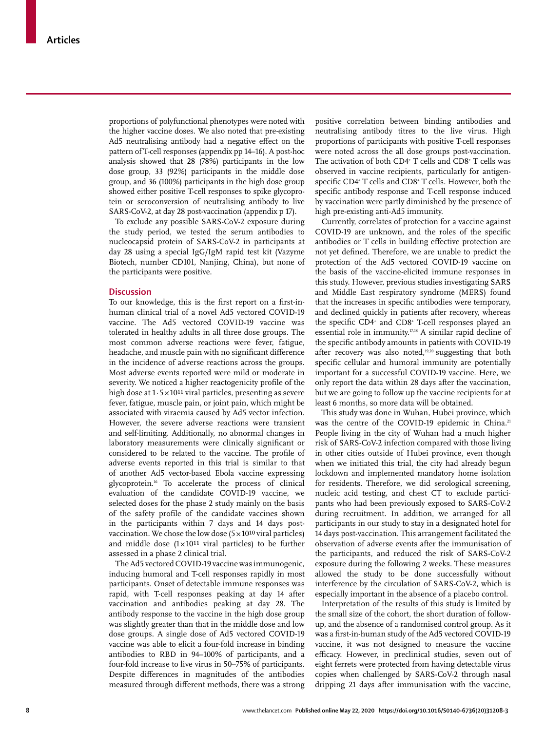proportions of polyfunctional phenotypes were noted with the higher vaccine doses. We also noted that pre-existing Ad5 neutralising antibody had a negative effect on the pattern of T-cell responses (appendix pp 14–16). A post-hoc analysis showed that 28 (78%) participants in the low dose group, 33 (92%) participants in the middle dose group, and 36 (100%) participants in the high dose group showed either positive T-cell responses to spike glycoprotein or seroconversion of neutralising antibody to live SARS-CoV-2, at day 28 post-vaccination (appendix p 17).

To exclude any possible SARS-CoV-2 exposure during the study period, we tested the serum antibodies to nucleocapsid protein of SARS-CoV-2 in participants at day 28 using a special IgG/IgM rapid test kit (Vazyme Biotech, number CD101, Nanjing, China), but none of the participants were positive.

#### **Discussion**

To our knowledge, this is the first report on a first-inhuman clinical trial of a novel Ad5 vectored COVID-19 vaccine. The Ad5 vectored COVID-19 vaccine was tolerated in healthy adults in all three dose groups. The most common adverse reactions were fever, fatigue, headache, and muscle pain with no significant difference in the incidence of adverse reactions across the groups. Most adverse events reported were mild or moderate in severity. We noticed a higher reactogenicity profile of the high dose at  $1.5 \times 10^{11}$  viral particles, presenting as severe fever, fatigue, muscle pain, or joint pain, which might be associated with viraemia caused by Ad5 vector infection. However, the severe adverse reactions were transient and self-limiting. Additionally, no abnormal changes in laboratory measurements were clinically significant or considered to be related to the vaccine. The profile of adverse events reported in this trial is similar to that of another Ad5 vector-based Ebola vaccine expressing glycoprotein.16 To accelerate the process of clinical evaluation of the candidate COVID-19 vaccine, we selected doses for the phase 2 study mainly on the basis of the safety profile of the candidate vaccines shown in the participants within 7 days and 14 days postvaccination. We chose the low dose  $(5 \times 10^{10} \text{ viral particles})$ and middle dose  $(1 \times 10^{11}$  viral particles) to be further assessed in a phase 2 clinical trial.

The Ad5 vectored COVID-19 vaccine was immunogenic, inducing humoral and T-cell responses rapidly in most participants. Onset of detectable immune responses was rapid, with T-cell responses peaking at day 14 after vaccination and antibodies peaking at day 28. The antibody response to the vaccine in the high dose group was slightly greater than that in the middle dose and low dose groups. A single dose of Ad5 vectored COVID-19 vaccine was able to elicit a four-fold increase in binding antibodies to RBD in 94–100% of participants, and a four-fold increase to live virus in 50–75% of participants. Despite differences in magnitudes of the antibodies measured through different methods, there was a strong positive correlation between binding antibodies and neutralising antibody titres to the live virus. High proportions of participants with positive T-cell responses were noted across the all dose groups post-vaccination. The activation of both CD4+ T cells and CD8+ T cells was observed in vaccine recipients, particularly for antigenspecific CD4+ T cells and CD8+ T cells. However, both the specific antibody response and T-cell response induced by vaccination were partly diminished by the presence of high pre-existing anti-Ad5 immunity.

Currently, correlates of protection for a vaccine against COVID-19 are unknown, and the roles of the specific antibodies or T cells in building effective protection are not yet defined. Therefore, we are unable to predict the protection of the Ad5 vectored COVID-19 vaccine on the basis of the vaccine-elicited immune responses in this study. However, previous studies investigating SARS and Middle East respiratory syndrome (MERS) found that the increases in specific antibodies were temporary, and declined quickly in patients after recovery, whereas the specific CD4+ and CD8+ T-cell responses played an essential role in immunity.17,18 A similar rapid decline of the specific antibody amounts in patients with COVID-19 after recovery was also noted,<sup>19,20</sup> suggesting that both specific cellular and humoral immunity are potentially important for a successful COVID-19 vaccine. Here, we only report the data within 28 days after the vaccination, but we are going to follow up the vaccine recipients for at least 6 months, so more data will be obtained.

This study was done in Wuhan, Hubei province, which was the centre of the COVID-19 epidemic in China.<sup>21</sup> People living in the city of Wuhan had a much higher risk of SARS-CoV-2 infection compared with those living in other cities outside of Hubei province, even though when we initiated this trial, the city had already begun lockdown and implemented mandatory home isolation for residents. Therefore, we did serological screening, nucleic acid testing, and chest CT to exclude participants who had been previously exposed to SARS-CoV-2 during recruitment. In addition, we arranged for all participants in our study to stay in a designated hotel for 14 days post-vaccination. This arrangement facilitated the observation of adverse events after the immunisation of the participants, and reduced the risk of SARS-CoV-2 exposure during the following 2 weeks. These measures allowed the study to be done successfully without interference by the circulation of SARS-CoV-2, which is especially important in the absence of a placebo control.

Interpretation of the results of this study is limited by the small size of the cohort, the short duration of followup, and the absence of a randomised control group. As it was a first-in-human study of the Ad5 vectored COVID-19 vaccine, it was not designed to measure the vaccine efficacy. However, in preclinical studies, seven out of eight ferrets were protected from having detectable virus copies when challenged by SARS-CoV-2 through nasal dripping 21 days after immunisation with the vaccine,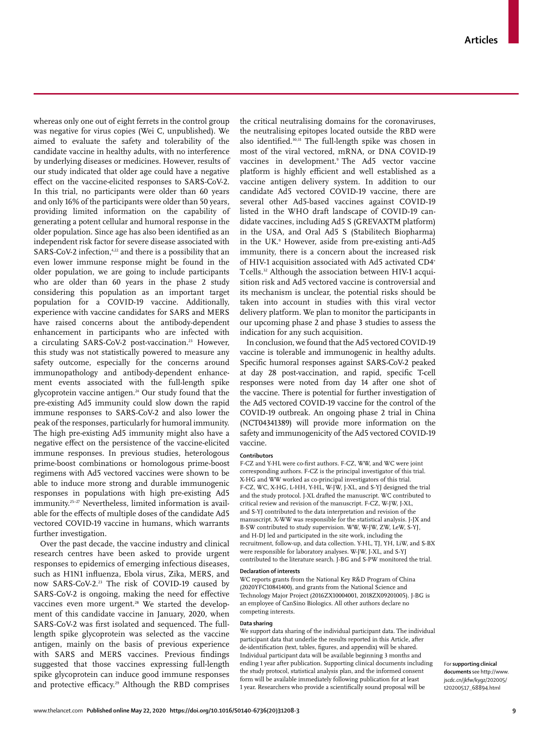whereas only one out of eight ferrets in the control group was negative for virus copies (Wei C, unpublished). We aimed to evaluate the safety and tolerability of the candidate vaccine in healthy adults, with no interference by underlying diseases or medicines. However, results of our study indicated that older age could have a negative effect on the vaccine-elicited responses to SARS-CoV-2. In this trial, no participants were older than 60 years and only 16% of the participants were older than 50 years, providing limited information on the capability of generating a potent cellular and humoral response in the older population. Since age has also been identified as an independent risk factor for severe disease associated with SARS-CoV-2 infection,<sup>4,22</sup> and there is a possibility that an even lower immune response might be found in the older population, we are going to include participants who are older than 60 years in the phase 2 study considering this population as an important target population for a COVID-19 vaccine. Additionally, experience with vaccine candidates for SARS and MERS have raised concerns about the antibody-dependent enhancement in participants who are infected with a circulating SARS-CoV-2 post-vaccination.<sup>23</sup> However, this study was not statistically powered to measure any safety outcome, especially for the concerns around immunopathology and antibody-dependent enhancement events associated with the full-length spike glycoprotein vaccine antigen.<sup>24</sup> Our study found that the pre-existing Ad5 immunity could slow down the rapid immune responses to SARS-CoV-2 and also lower the peak of the responses, particularly for humoral immunity. The high pre-existing Ad5 immunity might also have a negative effect on the persistence of the vaccine-elicited immune responses. In previous studies, heterologous prime-boost combinations or homologous prime-boost regimens with Ad5 vectored vaccines were shown to be able to induce more strong and durable immunogenic responses in populations with high pre-existing Ad5 immunity.25–27 Nevertheless, limited information is available for the effects of multiple doses of the candidate Ad5 vectored COVID-19 vaccine in humans, which warrants further investigation.

Over the past decade, the vaccine industry and clinical research centres have been asked to provide urgent responses to epidemics of emerging infectious diseases, such as H1N1 influenza, Ebola virus, Zika, MERS, and now SARS-CoV-2.23 The risk of COVID-19 caused by SARS-CoV-2 is ongoing, making the need for effective vaccines even more urgent.<sup>28</sup> We started the development of this candidate vaccine in January, 2020, when SARS-CoV-2 was first isolated and sequenced. The fulllength spike glycoprotein was selected as the vaccine antigen, mainly on the basis of previous experience with SARS and MERS vaccines. Previous findings suggested that those vaccines expressing full-length spike glycoprotein can induce good immune responses and protective efficacy.29 Although the RBD comprises the critical neutralising domains for the coronaviruses, the neutralising epitopes located outside the RBD were also identified.30,31 The full-length spike was chosen in most of the viral vectored, mRNA, or DNA COVID-19 vaccines in development.<sup>9</sup> The Ad5 vector vaccine platform is highly efficient and well established as a vaccine antigen delivery system. In addition to our candidate Ad5 vectored COVID-19 vaccine, there are several other Ad5-based vaccines against COVID-19 listed in the WHO draft landscape of COVID-19 candidate vaccines, including Ad5 S (GREVAXTM platform) in the USA, and Oral Ad5 S (Stabilitech Biopharma) in the UK.9 However, aside from pre-existing anti-Ad5 immunity, there is a concern about the increased risk of HIV-1 acquisition associated with Ad5 activated CD4+ Tcells.<sup>32</sup> Although the association between HIV-1 acquisition risk and Ad5 vectored vaccine is controversial and its mechanism is unclear, the potential risks should be taken into account in studies with this viral vector delivery platform. We plan to monitor the participants in our upcoming phase 2 and phase 3 studies to assess the indication for any such acquisition.

In conclusion, we found that the Ad5 vectored COVID-19 vaccine is tolerable and immunogenic in healthy adults. Specific humoral responses against SARS-CoV-2 peaked at day 28 post-vaccination, and rapid, specific T-cell responses were noted from day 14 after one shot of the vaccine. There is potential for further investigation of the Ad5 vectored COVID-19 vaccine for the control of the COVID-19 outbreak. An ongoing phase 2 trial in China (NCT04341389) will provide more information on the safety and immunogenicity of the Ad5 vectored COVID-19 vaccine.

#### **Contributors**

F-CZ and Y-HL were co-first authors. F-CZ, WW, and WC were joint corresponding authors. F-CZ is the principal investigator of this trial. X-HG and WW worked as co-principal investigators of this trial. F-CZ, WC, X-HG, L-HH, Y-HL, W-JW, J-XL, and S-YJ designed the trial and the study protocol. J-XL drafted the manuscript. WC contributed to critical review and revision of the manuscript. F-CZ, W-JW, J-XL, and S-YJ contributed to the data interpretation and revision of the manuscript. X-WW was responsible for the statistical analysis. J-JX and B-SW contributed to study supervision. WW, W-JW, ZW, LeW, S-YJ, and H-DJ led and participated in the site work, including the recruitment, follow-up, and data collection. Y-HL, TJ, YH, LiW, and S-BX were responsible for laboratory analyses. W-JW, J-XL, and S-YJ contributed to the literature search. J-BG and S-PW monitored the trial.

#### **Declaration of interests**

WC reports grants from the National Key R&D Program of China (2020YFC10841400), and grants from the National Science and Technology Major Project (2016ZX10004001, 2018ZX09201005). J-BG is an employee of CanSino Biologics. All other authors declare no competing interests.

#### **Data sharing**

We support data sharing of the individual participant data. The individual participant data that underlie the results reported in this Article, after de-identification (text, tables, figures, and appendix) will be shared. Individual participant data will be available beginning 3 months and ending 1 year after publication. [Supporting clinical documents](http://www.jscdc.cn/jkfw/kygz/202005/t20200517_68894.html) including the study protocol, statistical analysis plan, and the informed consent form will be available immediately following publication for at least 1 year. Researchers who provide a scientifically sound proposal will be

For **supporting clinical documents** see [http://www.](http://www.jscdc.cn/jkfw/kygz/202005/t20200517_68894.html) [jscdc.cn/jkfw/kygz/202005/](http://www.jscdc.cn/jkfw/kygz/202005/t20200517_68894.html) [t20200517\\_68894.html](http://www.jscdc.cn/jkfw/kygz/202005/t20200517_68894.html)